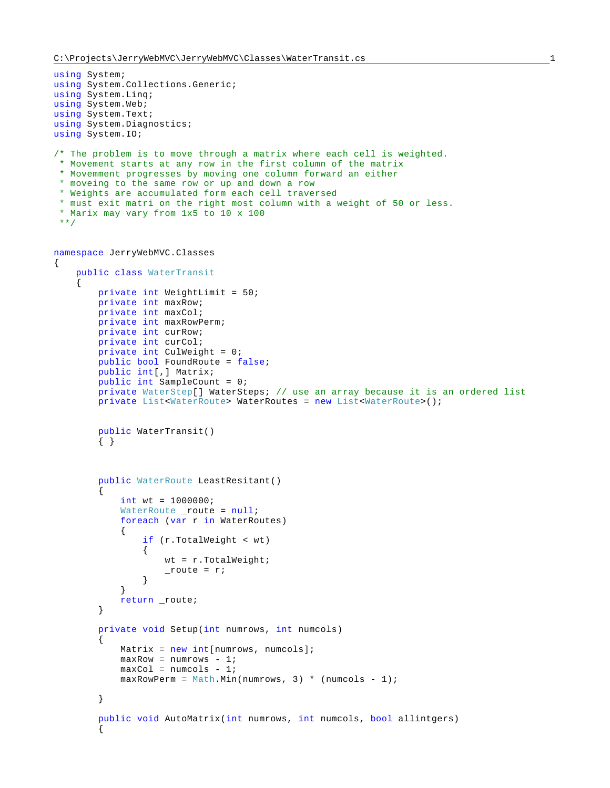```
using System;
using System.Collections.Generic;
using System.Linq;
using System.Web;
using System.Text;
using System.Diagnostics;
using System.IO;
/* The problem is to move through a matrix where each cell is weighted.
 * Movement starts at any row in the first column of the matrix
 * Movemment progresses by moving one column forward an either
 * moveing to the same row or up and down a row
 * Weights are accumulated form each cell traversed
 * must exit matri on the right most column with a weight of 50 or less.
 * Marix may vary from 1x5 to 10 x 100
**/
namespace JerryWebMVC.Classes
{
    public class WaterTransit
     {
        private int WeightLimit = 50;
        private int maxRow;
        private int maxCol;
        private int maxRowPerm;
        private int curRow;
        private int curCol;
        private int CulWeight = 0;
        public bool FoundRoute = false;
        public int[,] Matrix;
        public int SampleCount = 0;
        private WaterStep[] WaterSteps; // use an array because it is an ordered list
        private List<WaterRoute> WaterRoutes = new List<WaterRoute>();
        public WaterTransit()
         { }
        public WaterRoute LeastResitant()
         {
           int wt = 1000000;
           WaterRoute _route = null;
            foreach (var r in WaterRoutes)
\{ if (r.TotalWeight < wt)
{
                   wt = r.TotalWeight;_route = r;
 }
 }
            return _route;
        }
        private void Setup(int numrows, int numcols)
\{Matrix = new int[numrows, numcols];
           maxRow = numrows - 1;
           maxCol = numcols - 1;maxRowPerm = Math.Min(numrows, 3) * (numcols - 1); }
        public void AutoMatrix(int numrows, int numcols, bool allintgers)
\{
```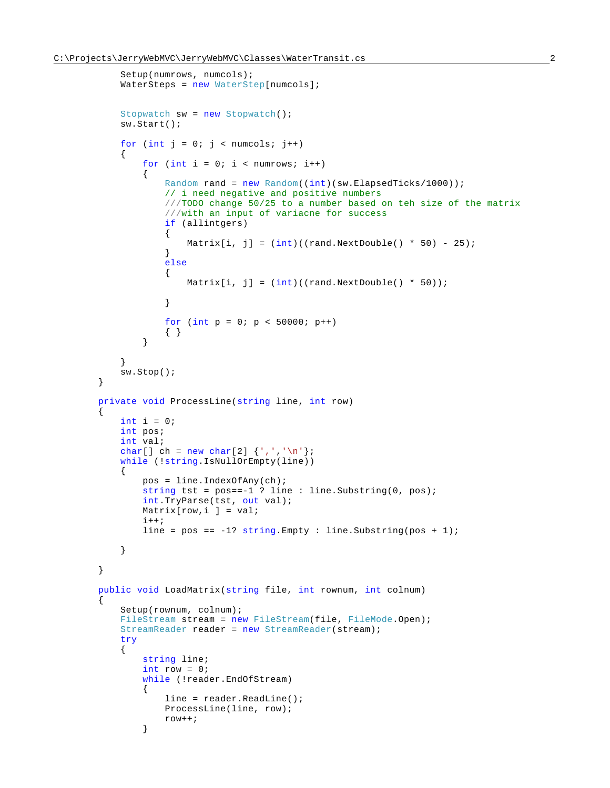$\{$ 

 $\{$ 

```
 Setup(numrows, numcols);
           WaterSteps = new WaterStep[numcols]; Stopwatch sw = new Stopwatch();
            sw.Start();
           for (int j = 0; j < numcols; j++)\{for (int i = 0; i < numrows; i++){
                    Random rand = new Random((int)(sw.ElapsedTicks/1000));
                    // i need negative and positive numbers
                   ///TODO change 50/25 to a number based on teh size of the matrix
                    ///with an input of variacne for success
                   if (allintgers)
\{Matrix[i, j] = (int)((rand.NextDouble() * 50) - 25);<br>}
 }
                   else
                   {
                       Matrix[i, j] = (int)((rand.NextDouble() * 50)); }
                   for (int p = 0; p < 50000; p++)
               \begin{matrix} \uparrow \\ \downarrow \end{matrix} }
 }
            sw.Stop();
        }
        private void ProcessLine(string line, int row)
           int i = 0;
            int pos;
            int val;
           char[] ch = new char[2] \{\cdot, \cdot, \cdot\};
            while (!string.IsNullOrEmpty(line))
\{ pos = line.IndexOfAny(ch);
               string tst = pos == -1 ? line : line. Substring(0, pos);
                int.TryParse(tst, out val);
                Matrix[row,i ] = val;
               i++;line = pos == -1? string. Empty : line. Substring(pos + 1);
 }
        }
        public void LoadMatrix(string file, int rownum, int colnum)
            Setup(rownum, colnum);
           FileStream stream = new FileStream(file, FileMode.Open);
            StreamReader reader = new StreamReader(stream);
            try
\{ string line;
               int row = 0;
                while (!reader.EndOfStream)
{
                    line = reader.ReadLine();
                    ProcessLine(line, row);
               \begin{matrix} \texttt{row++;}\\ \end{matrix} }
```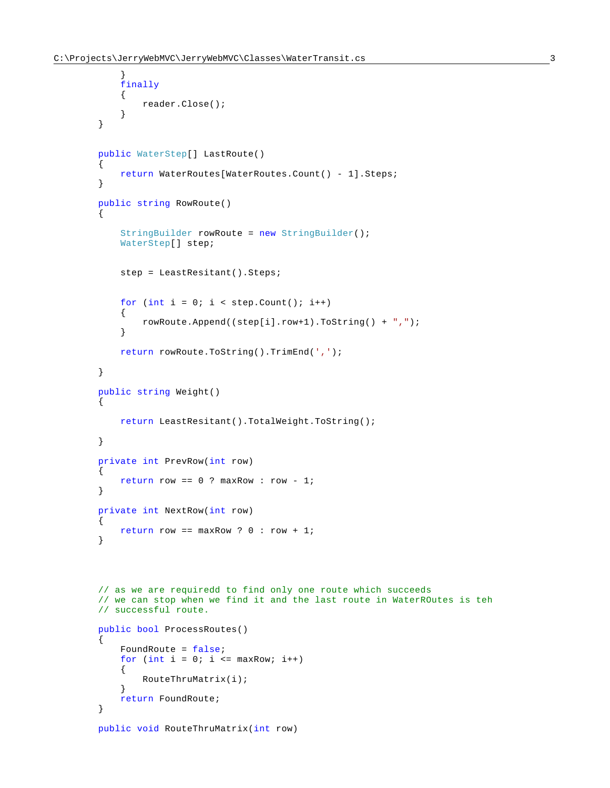}

```
 finally
\{ reader.Close();
 }
        }
        public WaterStep[] LastRoute()
\{ return WaterRoutes[WaterRoutes.Count() - 1].Steps;
 }
        public string RowRoute()
        {
            StringBuilder rowRoute = new StringBuilder();
            WaterStep[] step;
            step = LeastResitant().Steps;
           for (int i = 0; i < step.count(); i++)\{ rowRoute.Append((step[i].row+1).ToString() + ",");
 }
           return rowRoute.ToString().TrimEnd(',');
        }
        public string Weight()
\{ return LeastResitant().TotalWeight.ToString();
        }
        private int PrevRow(int row)
\{return row == 0 ? maxRow : row - 1;
        }
        private int NextRow(int row)
        {
          return row == maxRow ? 0 : row + 1; }
        // as we are requiredd to find only one route which succeeds
        // we can stop when we find it and the last route in WaterROutes is teh 
        // successful route.
        public bool ProcessRoutes()
\{ FoundRoute = false; 
           for (int i = 0; i \le m maxRow; i^{++})
\{ RouteThruMatrix(i);
 }
           return FoundRoute;
        }
        public void RouteThruMatrix(int row)
```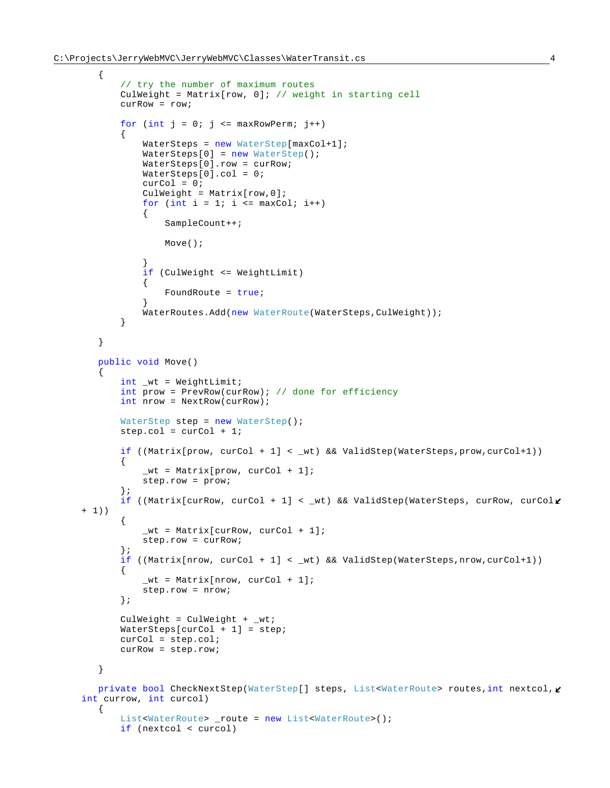```
 {
            // try the number of maximum routes
            CulWeight = Matrix[row, 0]; // weight in starting cell
            curRow = row;
           for (int j = 0; j \le m maxRowPerm; j++)\{ WaterSteps = new WaterStep[maxCol+1];
                WaterSteps[0] = new WaterStep();
                WaterSteps[0].row = curRow;
                WaterSteps[0].col = 0;
               curCol = 0;CulWeight = Matrix[row, 0];for (int i = 1; i \le maxColl; i++){
                   SampleCount++;
                   Move();
 }
               if (CulWeight <= WeightLimit)
{
                   FoundRoute = true;
 }
               WaterRoutes.Add(new WaterRoute(WaterSteps,CulWeight));
 }
        }
        public void Move()
\{ int _wt = WeightLimit;
            int prow = PrevRow(curRow); // done for efficiency
            int nrow = NextRow(curRow);
            WaterStep step = new WaterStep();
            step.col = curCol + 1;
            if ((Matrix[prow, curCol + 1] < _wt) && ValidStep(WaterSteps,prow,curCol+1))
\{wt = Matrix[prow, curCol + 1]; step.row = prow;
            };
           if ((Matrix[curRow, curCol + 1] < _wt) && ValidStep(WaterSteps, curRow, curCol\ell+ 1))
\{wt = Matrix[curRow, curCol + 1]; step.row = curRow;
            };
           if ((Matrix[nrow, curCol + 1] < wt) && ValidStep(WaterSteps,nrow,curCol+1))
\{wt = Matrix[nrow, curCol + 1]; step.row = nrow;
            };
            CulWeight = CulWeight + _wt;
            WaterSteps[curCol + 1] = step;
            curCol = step.col;
            curRow = step.row;
        }
       private bool CheckNextStep(WaterStep[] steps, List<WaterRoute> routes, int nextcol, \ellint currow, int curcol)
        {
            List<WaterRoute> _route = new List<WaterRoute>();
            if (nextcol < curcol)
```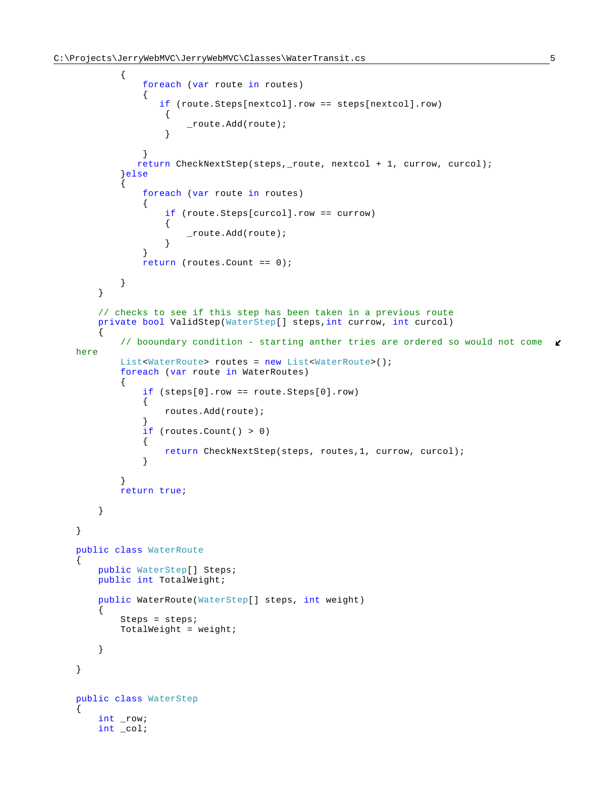```
\{ foreach (var route in routes)
{
                 if (route.Steps[nextcol].row == steps[nextcol].row)
\{_route.Add(route);
 }
 }
             return CheckNextStep(steps,_route, nextcol + 1, currow, curcol);
           }else
\{ foreach (var route in routes)
{
                 if (route.Steps[curcol].row == currow)
\{ _route.Add(route);
 }
 }
             return (routes. Count == 0);
 }
       }
       // checks to see if this step has been taken in a previous route
       private bool ValidStep(WaterStep[] steps,int currow, int curcol)
\{ // booundary condition - starting anther tries are ordered so would not come 
   here
           List<WaterRoute> routes = new List<WaterRoute>();
           foreach (var route in WaterRoutes)
\{ if (steps[0].row == route.Steps[0].row)
{
                 routes.Add(route);
 }
             if (routes.Count() > 0)
{
                 return CheckNextStep(steps, routes,1, currow, curcol);
 }
 }
           return true;
       }
    }
    public class WaterRoute
\left\{\begin{array}{ccc} \end{array}\right\} public WaterStep[] Steps;
       public int TotalWeight;
       public WaterRoute(WaterStep[] steps, int weight)
\{ Steps = steps;
           TotalWeight = weight;
       }
    }
    public class WaterStep
    {
       int _row;
       int _col;
```